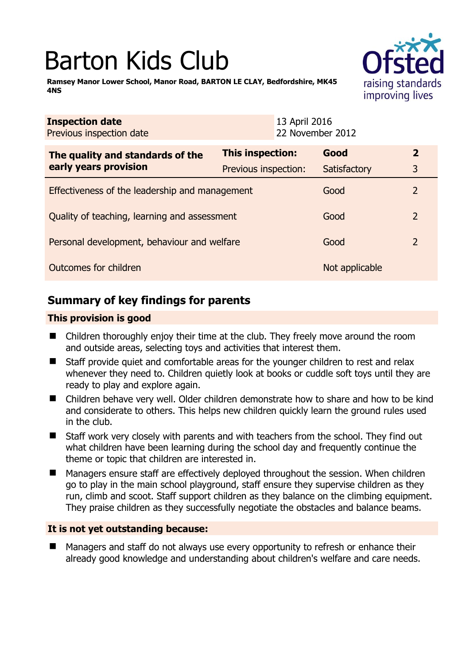# Barton Kids Club

**Ramsey Manor Lower School, Manor Road, BARTON LE CLAY, Bedfordshire, MK45 4NS** 



| <b>Inspection date</b><br>Previous inspection date        |                         | 13 April 2016<br>22 November 2012 |                |                |
|-----------------------------------------------------------|-------------------------|-----------------------------------|----------------|----------------|
| The quality and standards of the<br>early years provision | <b>This inspection:</b> |                                   | Good           | $\mathbf{2}$   |
|                                                           | Previous inspection:    |                                   | Satisfactory   | 3              |
| Effectiveness of the leadership and management            |                         |                                   | Good           | $\overline{2}$ |
| Quality of teaching, learning and assessment              |                         |                                   | Good           | 2              |
| Personal development, behaviour and welfare               |                         |                                   | Good           | 2              |
| Outcomes for children                                     |                         |                                   | Not applicable |                |

# **Summary of key findings for parents**

## **This provision is good**

- Children thoroughly enjoy their time at the club. They freely move around the room and outside areas, selecting toys and activities that interest them.
- Staff provide quiet and comfortable areas for the younger children to rest and relax whenever they need to. Children quietly look at books or cuddle soft toys until they are ready to play and explore again.
- Children behave very well. Older children demonstrate how to share and how to be kind and considerate to others. This helps new children quickly learn the ground rules used in the club.
- Staff work very closely with parents and with teachers from the school. They find out what children have been learning during the school day and frequently continue the theme or topic that children are interested in.
- Managers ensure staff are effectively deployed throughout the session. When children go to play in the main school playground, staff ensure they supervise children as they run, climb and scoot. Staff support children as they balance on the climbing equipment. They praise children as they successfully negotiate the obstacles and balance beams.

## **It is not yet outstanding because:**

■ Managers and staff do not always use every opportunity to refresh or enhance their already good knowledge and understanding about children's welfare and care needs.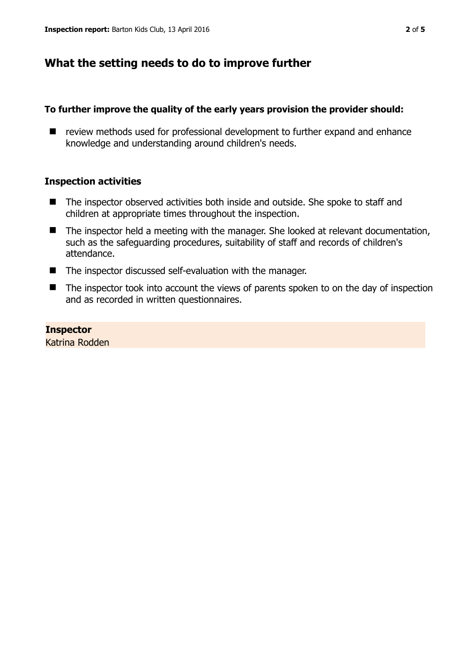# **What the setting needs to do to improve further**

## **To further improve the quality of the early years provision the provider should:**

■ review methods used for professional development to further expand and enhance knowledge and understanding around children's needs.

## **Inspection activities**

- The inspector observed activities both inside and outside. She spoke to staff and children at appropriate times throughout the inspection.
- The inspector held a meeting with the manager. She looked at relevant documentation, such as the safeguarding procedures, suitability of staff and records of children's attendance.
- The inspector discussed self-evaluation with the manager.
- The inspector took into account the views of parents spoken to on the day of inspection and as recorded in written questionnaires.

#### **Inspector**

Katrina Rodden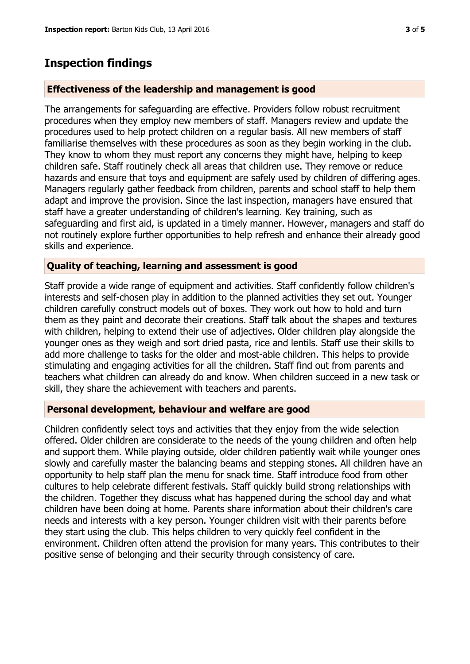## **Inspection findings**

#### **Effectiveness of the leadership and management is good**

The arrangements for safeguarding are effective. Providers follow robust recruitment procedures when they employ new members of staff. Managers review and update the procedures used to help protect children on a regular basis. All new members of staff familiarise themselves with these procedures as soon as they begin working in the club. They know to whom they must report any concerns they might have, helping to keep children safe. Staff routinely check all areas that children use. They remove or reduce hazards and ensure that toys and equipment are safely used by children of differing ages. Managers regularly gather feedback from children, parents and school staff to help them adapt and improve the provision. Since the last inspection, managers have ensured that staff have a greater understanding of children's learning. Key training, such as safeguarding and first aid, is updated in a timely manner. However, managers and staff do not routinely explore further opportunities to help refresh and enhance their already good skills and experience.

#### **Quality of teaching, learning and assessment is good**

Staff provide a wide range of equipment and activities. Staff confidently follow children's interests and self-chosen play in addition to the planned activities they set out. Younger children carefully construct models out of boxes. They work out how to hold and turn them as they paint and decorate their creations. Staff talk about the shapes and textures with children, helping to extend their use of adjectives. Older children play alongside the younger ones as they weigh and sort dried pasta, rice and lentils. Staff use their skills to add more challenge to tasks for the older and most-able children. This helps to provide stimulating and engaging activities for all the children. Staff find out from parents and teachers what children can already do and know. When children succeed in a new task or skill, they share the achievement with teachers and parents.

#### **Personal development, behaviour and welfare are good**

Children confidently select toys and activities that they enjoy from the wide selection offered. Older children are considerate to the needs of the young children and often help and support them. While playing outside, older children patiently wait while younger ones slowly and carefully master the balancing beams and stepping stones. All children have an opportunity to help staff plan the menu for snack time. Staff introduce food from other cultures to help celebrate different festivals. Staff quickly build strong relationships with the children. Together they discuss what has happened during the school day and what children have been doing at home. Parents share information about their children's care needs and interests with a key person. Younger children visit with their parents before they start using the club. This helps children to very quickly feel confident in the environment. Children often attend the provision for many years. This contributes to their positive sense of belonging and their security through consistency of care.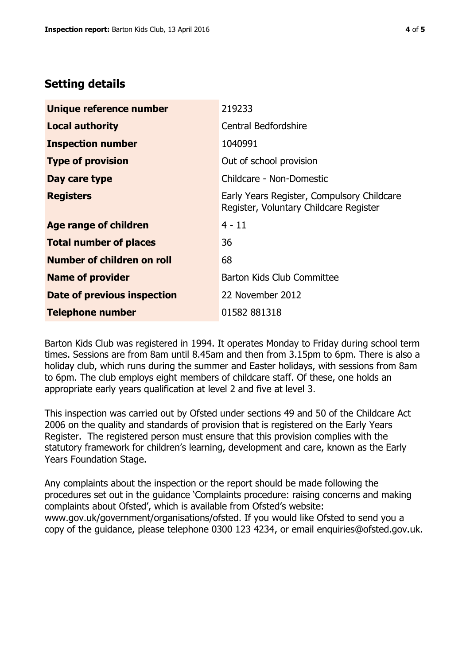# **Setting details**

| Unique reference number       | 219233                                                                               |  |
|-------------------------------|--------------------------------------------------------------------------------------|--|
| <b>Local authority</b>        | <b>Central Bedfordshire</b>                                                          |  |
| <b>Inspection number</b>      | 1040991                                                                              |  |
| <b>Type of provision</b>      | Out of school provision                                                              |  |
| Day care type                 | Childcare - Non-Domestic                                                             |  |
| <b>Registers</b>              | Early Years Register, Compulsory Childcare<br>Register, Voluntary Childcare Register |  |
| Age range of children         | $4 - 11$                                                                             |  |
| <b>Total number of places</b> | 36                                                                                   |  |
| Number of children on roll    | 68                                                                                   |  |
| <b>Name of provider</b>       | Barton Kids Club Committee                                                           |  |
| Date of previous inspection   | 22 November 2012                                                                     |  |
| <b>Telephone number</b>       | 01582 881318                                                                         |  |

Barton Kids Club was registered in 1994. It operates Monday to Friday during school term times. Sessions are from 8am until 8.45am and then from 3.15pm to 6pm. There is also a holiday club, which runs during the summer and Easter holidays, with sessions from 8am to 6pm. The club employs eight members of childcare staff. Of these, one holds an appropriate early years qualification at level 2 and five at level 3.

This inspection was carried out by Ofsted under sections 49 and 50 of the Childcare Act 2006 on the quality and standards of provision that is registered on the Early Years Register. The registered person must ensure that this provision complies with the statutory framework for children's learning, development and care, known as the Early Years Foundation Stage.

Any complaints about the inspection or the report should be made following the procedures set out in the guidance 'Complaints procedure: raising concerns and making complaints about Ofsted', which is available from Ofsted's website: www.gov.uk/government/organisations/ofsted. If you would like Ofsted to send you a copy of the guidance, please telephone 0300 123 4234, or email enquiries@ofsted.gov.uk.